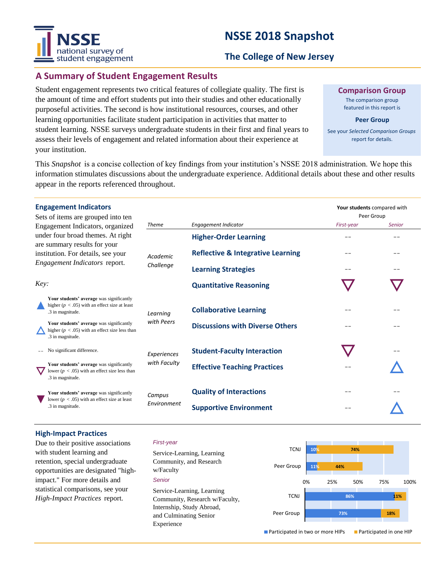# national survey of student engagement

# **NSSE 2018 Snapshot**

#### **The College of New Jersey**

#### **A Summary of Student Engagement Results**

Student engagement represents two critical features of collegiate quality. The first is the amount of time and effort students put into their studies and other educationally purposeful activities. The second is how institutional resources, courses, and other learning opportunities facilitate student participation in activities that matter to student learning. NSSE surveys undergraduate students in their first and final years to assess their levels of engagement and related information about their experience at your institution.

**Comparison Group**

The comparison group featured in this report is

**Peer Group**

See your *Selected Comparison Groups*  report for details.

**Your students** compared with

This *Snapshot* is a concise collection of key findings from your institution's NSSE 2018 administration. We hope this information stimulates discussions about the undergraduate experience. Additional details about these and other results appear in the reports referenced throughout.

#### **Engagement Indicators**

| Sets of items are grouped into ten<br>Engagement Indicators, organized<br>under four broad themes. At right<br>are summary results for your<br>institution. For details, see your<br><i>Engagement Indicators</i> report.<br>Key: |                                                                                                                    |                       |                                              | Peer Group |               |
|-----------------------------------------------------------------------------------------------------------------------------------------------------------------------------------------------------------------------------------|--------------------------------------------------------------------------------------------------------------------|-----------------------|----------------------------------------------|------------|---------------|
|                                                                                                                                                                                                                                   |                                                                                                                    | <b>Theme</b>          | <b>Engagement Indicator</b>                  | First-year | <b>Senior</b> |
|                                                                                                                                                                                                                                   |                                                                                                                    | Academic<br>Challenge | <b>Higher-Order Learning</b>                 |            |               |
|                                                                                                                                                                                                                                   |                                                                                                                    |                       | <b>Reflective &amp; Integrative Learning</b> | --         | --            |
|                                                                                                                                                                                                                                   |                                                                                                                    |                       | <b>Learning Strategies</b>                   |            |               |
|                                                                                                                                                                                                                                   |                                                                                                                    |                       | <b>Quantitative Reasoning</b>                |            |               |
|                                                                                                                                                                                                                                   | Your students' average was significantly<br>higher ( $p < .05$ ) with an effect size at least<br>.3 in magnitude.  | Learning              | <b>Collaborative Learning</b>                | --         |               |
|                                                                                                                                                                                                                                   | Your students' average was significantly<br>higher ( $p < .05$ ) with an effect size less than<br>.3 in magnitude. | with Peers            | <b>Discussions with Diverse Others</b>       |            |               |
|                                                                                                                                                                                                                                   | No significant difference.                                                                                         | Experiences           | <b>Student-Faculty Interaction</b>           |            |               |
|                                                                                                                                                                                                                                   | Your students' average was significantly<br>lower ( $p < .05$ ) with an effect size less than<br>.3 in magnitude.  | with Faculty          | <b>Effective Teaching Practices</b>          |            |               |
|                                                                                                                                                                                                                                   | Your students' average was significantly<br>lower ( $p < .05$ ) with an effect size at least<br>.3 in magnitude.   | Campus<br>Environment | <b>Quality of Interactions</b>               |            |               |
|                                                                                                                                                                                                                                   |                                                                                                                    |                       | <b>Supportive Environment</b>                |            |               |

#### **High-Impact Practices**

Due to their positive associations with student learning and retention, special undergraduate opportunities are designated "highimpact." For more details and statistical comparisons, see your *High-Impact Practices* report.

#### *First-year*

*Senior* Service-Learning, Learning Community, and Research w/Faculty Service-Learning, Learning Community, Research w/Faculty, Internship, Study Abroad, and Culminating Senior Experience

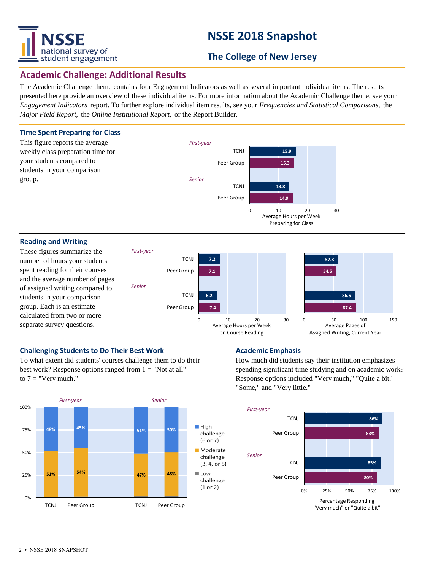

# **NSSE 2018 Snapshot**

### **The College of New Jersey**

#### **Academic Challenge: Additional Results**

The Academic Challenge theme contains four Engagement Indicators as well as several important individual items. The results presented here provide an overview of these individual items. For more information about the Academic Challenge theme, see your *Engagement Indicators* report. To further explore individual item results, see your *Frequencies and Statistical Comparisons,* the *Major Field Report,* the *Online Institutional Report,* or the Report Builder.



#### **Challenging Students to Do Their Best Work <b>Academic Emphasis Academic Emphasis**

To what extent did students' courses challenge them to do their best work? Response options ranged from  $1 =$  "Not at all" to  $7 =$  "Very much."



How much did students say their institution emphasizes spending significant time studying and on academic work? Response options included "Very much," "Quite a bit," "Some," and "Very little."

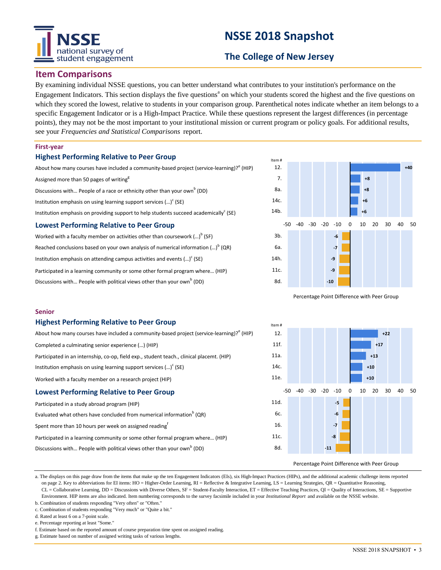# tional survey of student engagement

# **NSSE 2018 Snapshot**

### **The College of New Jersey**

#### **Item Comparisons**

By examining individual NSSE questions, you can better understand what contributes to your institution's performance on the Engagement Indicators. This section displays the five questions<sup>a</sup> on which your students scored the highest and the five questions on which they scored the lowest, relative to students in your comparison group. Parenthetical notes indicate whether an item belongs to a specific Engagement Indicator or is a High-Impact Practice. While these questions represent the largest differences (in percentage points), they may not be the most important to your institutional mission or current program or policy goals. For additional results, see your *Frequencies and Statistical Comparisons* report.

#### **First-year**

**Senior**

#### **Highest Performing Relative to Peer Group**

**Highest Performing Relative to Peer Group**

Institution emphasis on using learning support services  $(\cdot \cdot \cdot)^c$  (SE) Worked with a faculty member on a research project (HIP) **Lowest Performing Relative to Peer Group**

Evaluated what others have concluded from numerical information $^{\rm b}$  (QR)

Discussions with... People with political views other than your own<sup>b</sup> (DD)

Participated in a learning community or some other formal program where… (HIP)

Completed a culminating senior experience (…) (HIP)

Participated in a study abroad program (HIP)

| <b>Lowest Performing Relative to Peer Group</b>                                                       |  |  |  |  |  |
|-------------------------------------------------------------------------------------------------------|--|--|--|--|--|
| Institution emphasis on providing support to help students succeed academically <sup>c</sup> (SE)     |  |  |  |  |  |
| Institution emphasis on using learning support services $()^c$ (SE)                                   |  |  |  |  |  |
| Discussions with People of a race or ethnicity other than your own <sup>b</sup> (DD)                  |  |  |  |  |  |
| Assigned more than 50 pages of writing <sup>g</sup>                                                   |  |  |  |  |  |
| About how many courses have included a community-based project (service-learning)? <sup>e</sup> (HIP) |  |  |  |  |  |

Worked with a faculty member on activities other than coursework (...) $^{\text{b}}$  (SF) Reached conclusions based on your own analysis of numerical information  $\left( ...\right) ^{\mathsf{b}}$  (QR) Institution emphasis on attending campus activities and events  $(...)^c$  (SE) Participated in a learning community or some other formal program where… (HIP) Discussions with... People with political views other than your own<sup>b</sup> (DD)

About how many courses have included a community-based project (service-learning)?<sup>e</sup> (HIP)

Participated in an internship, co-op, field exp., student teach., clinical placemt. (HIP)



Percentage Point Difference with Peer Group



#### Percentage Point Difference with Peer Group

a. The displays on this page draw from the items that make up the ten Engagement Indicators (EIs), six High-Impact Practices (HIPs), and the additional academic challenge items reported on page 2. Key to abbreviations for EI items: HO = Higher-Order Learning,  $RI =$  Reflective & Integrative Learning,  $LS =$  Learning Strategies,  $QR =$  Quantitative Reasoning, CL = Collaborative Learning, DD = Discussions with Diverse Others, SF = Student-Faculty Interaction, ET = Effective Teaching Practices, QI = Quality of Interactions, SE = Supportive Environment. HIP items are also indicated. Item numbering corresponds to the survey facsimile included in your *Institutional Report* and available on the NSSE website.

b. Combination of students responding "Very often" or "Often." c. Combination of students responding "Very much" or "Quite a bit."

Spent more than 10 hours per week on assigned reading<sup>f</sup>

d. Rated at least 6 on a 7-point scale.

e. Percentage reporting at least "Some."

f. Estimate based on the reported amount of course preparation time spent on assigned reading.

g. Estimate based on number of assigned writing tasks of various lengths.